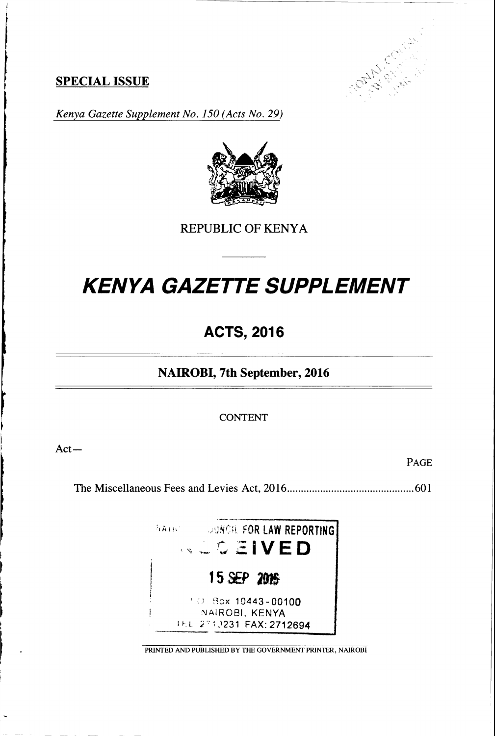

## **SPECIAL ISSUE**

Kenya Gazette Supplement No. 150 (Acts No. 29)



## **REPUBLIC OF KENYA**

# **KENYA GAZETTE SUPPLEMENT**

## **ACTS, 2016**

## **NAIROBI, 7th September, 2016**

**CONTENT** 

 $Act-$ 

**PAGE** 



PRINTED AND PUBLISHED BY THE GOVERNMENT PRINTER, NAIROBI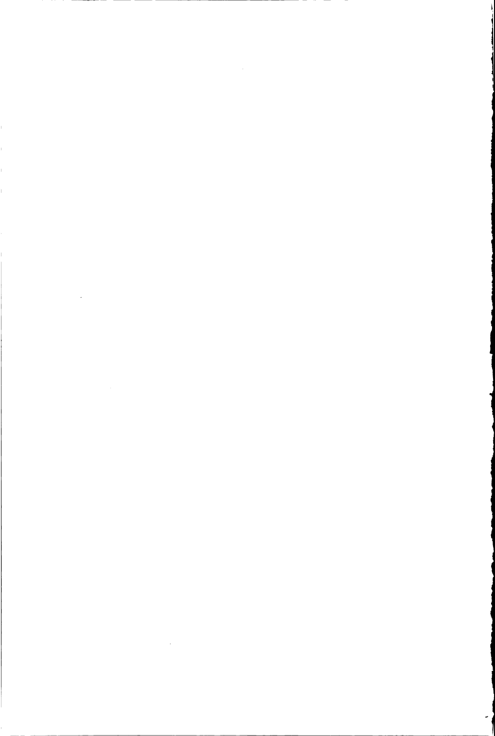$\label{eq:2.1} \mathcal{L}_{\mathcal{A}}(\mathcal{A}) = \mathcal{L}_{\mathcal{A}}(\mathcal{A}) = \mathcal{L}_{\mathcal{A}}(\mathcal{A})$  $\label{eq:2.1} \frac{1}{\sqrt{2}}\int_{\mathbb{R}^3}\frac{1}{\sqrt{2}}\left(\frac{1}{\sqrt{2}}\right)^2\frac{1}{\sqrt{2}}\left(\frac{1}{\sqrt{2}}\right)^2\frac{1}{\sqrt{2}}\left(\frac{1}{\sqrt{2}}\right)^2\frac{1}{\sqrt{2}}\left(\frac{1}{\sqrt{2}}\right)^2.$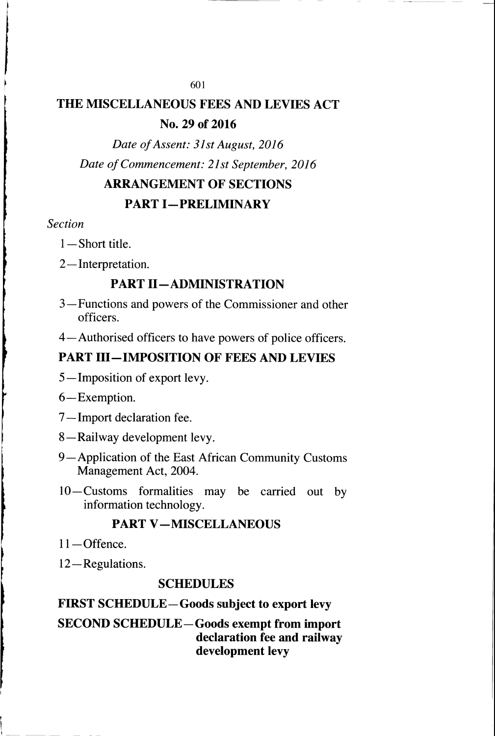## THE MISCELLANEOUS FEES AND LEVIES ACT No. 29 of 2016

## Date of Assent: 3lst August, 2016 Date of Commencement: 2lst September, 2016 ARRANGEMENT OF SECTIONS

## PART I-PRELIMINARY

## Section

- 1 Short title.
- 2-Interpretation.

## PART II-ADMINISTRATION

- <sup>3</sup>-Functions and powers of the Commissioner and other officers.
- 4-Authorised officers to have powers of police officers.

## PART III-IMPOSITION OF FEES AND LEVIES

- <sup>5</sup>-Imposition of export levy.
- 6-Exemption.
- 7-Import declaration fee.
- 8-Railway development levy.
- 9-Application of the East African Community Customs Management Act, 2004.
- 10-Customs formalities may be carried out by information technology.

## **PART V-MISCELLANEOUS**

- $11$  Offence.
- 12-Regulations.

## **SCHEDULES**

## FIRST SCHEDULE-Goods subject to export levy

## SECOND SCHEDULE-Goods exempt from import declaration fee and railway development levy

#### 601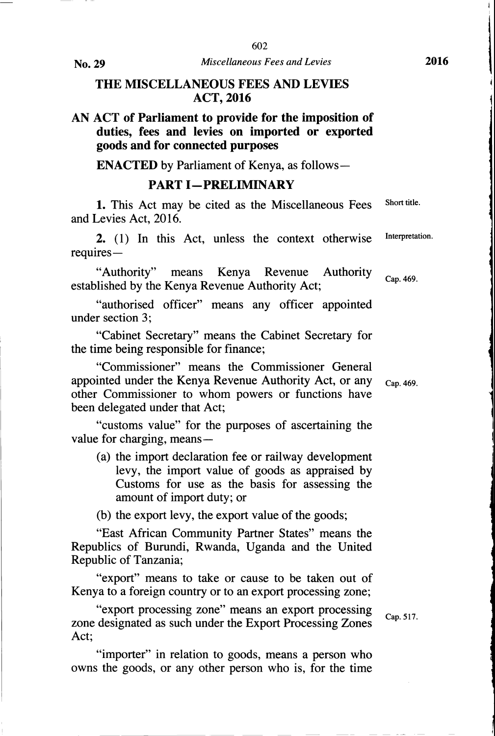## No.29 Miscellaneous Fees and Levies 2016

## THE MISCELLANEOUS FEES AND LEVIES ACT, 2016

## AN ACT of Parliament to provide for the imposition of duties, fees and levies on imported or exported goods and for connected purposes

ENACTED by Parliament of Kenya, as follows-

## **PART I-PRELIMINARY**

1. This Act may be cited as the Miscellaneous Fees Short title. and Levies Act,2016.

2. (1) In this Act, unless the context otherwise Interpretation. requires-

"Authority" means Kenya Revenue Authority established by the Kenya Revenue Authority Act; Cap. 469.

"authorised officer" means any officer appointed under section 3;

"Cabinet Secretary" means the Cabinet Secretary for the time being responsible for finance;

"Commissioner" means the Commissioner General appointed under the Kenya Revenue Authority Act, or any  $_{Cap. 469.}$ other Commissioner to whom powers or functions have been delegated under that Act;

"customs value" for the purposes of ascertaining the value for charging, means-

(a) the import declaration fee or railway development levy, the import value of goods as appraised by Customs for use as the basis for assessing the amount of import duty; or

(b) the export levy, the export value of the goods;

"East African Community Partner States" means the Republics of Burundi, Rwanda, Uganda and the United Republic of Tanzania;

"export" means to take or cause to be taken out of Kenya to a foreign country or to an export processing zone;

"export processing zone" means an export processing zone designated as such under the Export Processing Zones Cap. 517. Act;

"importer" in relation to goods, means a person who owns the goods, or any other person who is, for the time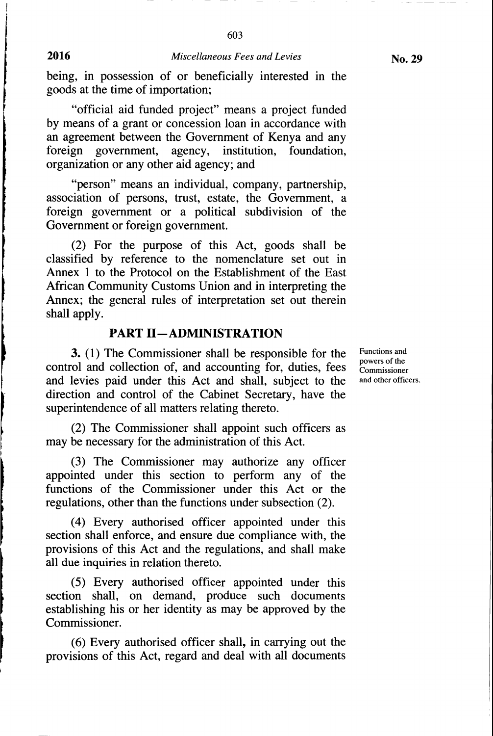#### Miscellaneous Fees and Levies

being, in possession of or beneficially interested in the goods at the time of importation;

"official aid funded project" means a project funded by means of a grant or concession loan in accordance with an agreement between the Government of Kenya and any foreign government, agency, institution, foundation, organization or any other aid agency; and

"person" means an individual, company, partnership, association of persons, trust, estate, the Government, a foreign government or a political subdivision of the Government or foreign government.

 $(2)$  For the purpose of this Act, goods shall be classified by reference to the nomenclature set out in Annex 1 to the Protocol on the Establishment of the East African Community Customs Union and in interpreting the Annex; the general rules of interpretation set out therein shall apply.

## PART II—ADMINISTRATION

3. (1) The Commissioner shall be responsible for the control and collection of, and accounting for, duties, fees and levies paid under this Act and shall, subject to the direction and control of the Cabinet Secretary, have the superintendence of all matters relating thereto.

(2) The Commissioner shall appoint such officers as may be necessary for the administration of this Act.

(3) The Commissioner may authorize any officer appointed under this section to perform any of the functions of the Commissioner under this Act or the regulations, other than the functions under subsection (2).

(4) Every authorised officer appointed under this section shall enforce, and ensure due compliance with, the provisions of this Act and the regulations, and shall make all due inquiries in relation thereto.

(5) Every authorised officer appointed under this section shall, on demand, produce such documents establishing his or her identity as may be approved by the Commissioner.

(6) Every authorised officer shall, in carrying out the provisions of this Act, regard and deal with all documents Functions and powers of the Commissioner and other officers.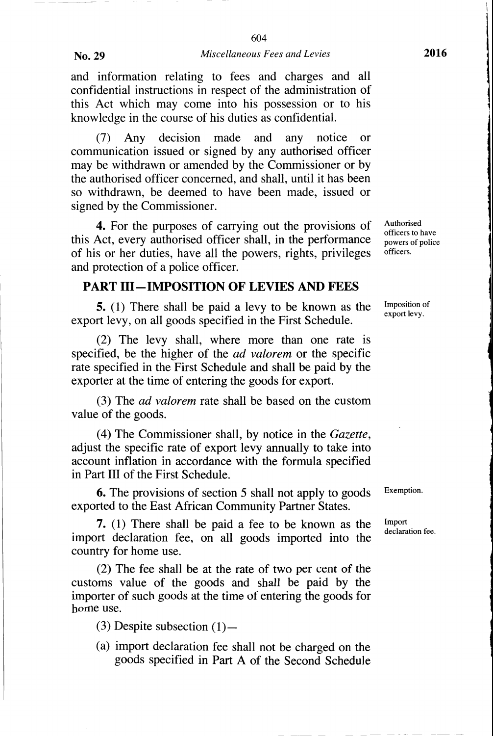#### Miscellaneous Fees and Levies

and information relating to fees and charges and all confidential instructions in respect of the administration of this Act which may come into his possession or to his knowledge in the course of his duties as confidential.

(7) Any decision made and any notice or communication issued or signed by any authorised officer may be withdrawn or amended by the Commissioner or by the authorised officer concerned, and shall, until it has been so withdrawn, be deemed to have been made, issued or signed by the Commissioner.

4. For the purposes of carrying out the provisions of this Act, every authorised officer shall, in the performance of his or her duties, have all the powers, rights, privileges and protection of a police officer.

#### PART III-IMPOSITION OF LEVIES AND FEES

5. (1) There shall be paid a levy to be known as the export levy, on all goods specified in the First Schedule.

(2) The levy shall, where more than one rate is specified, be the higher of the ad valorem or the specific rate specified in the First Schedule and shall be paid by the exporter at the time of entering the goods for export.

(3) The ad valorem rate shall be based on the custom value of the goods.

(4) The Commissioner shall, by notice in the Gazette, adjust the specific rate of export levy annually to take into account inflation in accordance with the formula specified in Part III of the First Schedule.

6. The provisions of section 5 shall not apply to goods exported to the East African Community Partner States.

7. (1) There shall be paid a fee to be known as the import declaration fee, on all goods imported into the country for home use.

(2) The fee shall be at the rate of two per cent of the customs value of the goods and shall be paid by the importer of such goods at the time of entering the goods for home USe.

 $(3)$  Despite subsection  $(1)$ —

(a) import declaration fee shall not be charged on the goods specified in Part A of the Second Schedule Authorised officers to have powers of police officers.

Imposition of export levy.

Exemption.

lmport declaration fee.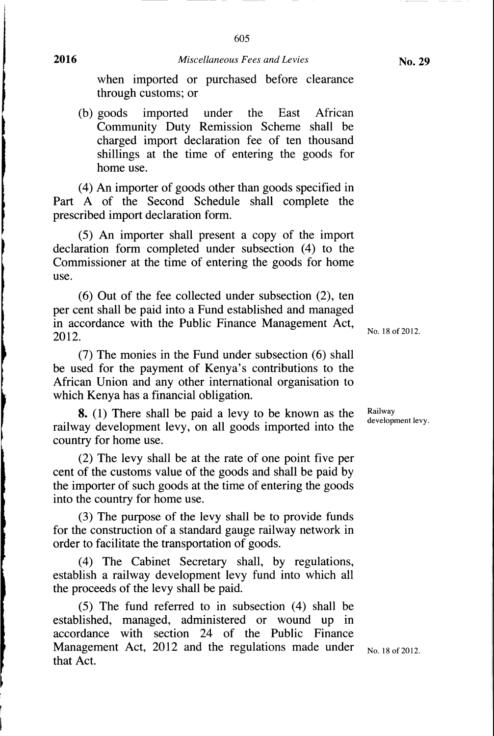when imported or purchased before clearance through customs; or

(b) goods imported under the East African Community Duty Remission Scheme shall be charged import declaration fee of ten thousand shillings at the time of entering the goods for home use.

(4) An importer of goods other than goods specified in Part A of the Second Schedule shall complete the prescribed import declaration form.

(5) An importer shall present a copy of the import declaration form completed under subsection (4) to the Commissioner at the time of entering the goods for home use.

(6) Out of the fee collected under subsection (2), ten per cent shall be paid into a Fund established and managed in accordance with the Public Finance Management Act, 2012.

(7) The monies in the Fund under subsection (6) shall be used for the payment of Kenya's contributions to the African Union and any other international organisation to which Kenya has a financial obligation.

8. (1) There shall be paid a levy to be known as the railway development levy, on all goods imported into the country for home use.

(2) The levy shall be at the rate of one point five per cent of the customs value of the goods and shall be paid by the importer of such goods at the time of entering the goods into the country for home use.

(3) The purpose of the levy shall be to provide funds for the construction of a standard gauge railway network in order to facilitate the transportation of goods.

(4) The Cabinet Secretary shall, by regulations, establish a railway development levy fund into which all the proceeds of the levy shall be paid.

(5) The fund referred to in subsection (4) shall be established, managed, administered or wound up in accordance with section 24 of the Public Finance Management Act, 2012 and the regulations made under that Act.

No. l8 of 2012.

Railway development levy.

No. 29

No. 18 of 2012.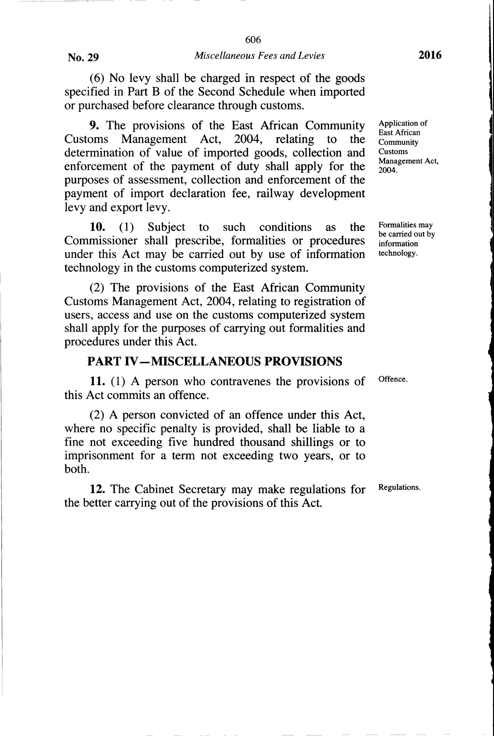(6) No levy shall be charged in respect of the goods specified in Part B of the Second Schedule when imported or purchased before clearance through customs.

9. The provisions of the East African Community Customs Management Act, 2004, relating to the determination of value of imported goods, collection and enforcement of the payment of duty shall apply for the purposes of assessment, collection and enforcement of the payment of import declaration fee, railway development levy and export levy.

10. (1) Subject to such conditions as the Commissioner shall prescribe, formalities or procedures under this Act may be carried out by use of information technology in the customs computerized system.

(2) The provisions of the East African Community Customs Management Act, 2004, relating to registration of users, access and use on the customs computerized system shall apply for the purposes of carrying out formalities and procedures under this Act.

#### PART IV-MISCELLANEOUS PROVISIONS

11. (1) A person who contravenes the provisions of this Act commits an offence.

(2) A person convicted of an offence under this Act, where no specific penalty is provided, shall be liable to a fine not exceeding five hundred thousand shillings or to imprisonment for a term not exceeding two years, or to both.

12. The Cabinet Secretary may make regulations for Regulations. the better carrying out of the provisions of this Act.

Application of East African Community Customs Management Act, 2004.

Formalities may be carried out by information technology.

Offence.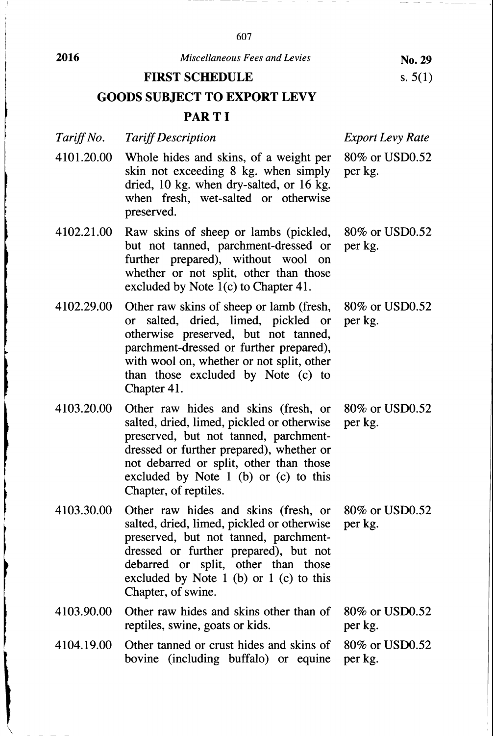| 2016       | Miscellaneous Fees and Levies                                                                                                                                                                                                                                                        | No. 29                    |
|------------|--------------------------------------------------------------------------------------------------------------------------------------------------------------------------------------------------------------------------------------------------------------------------------------|---------------------------|
|            | <b>FIRST SCHEDULE</b>                                                                                                                                                                                                                                                                | s. $5(1)$                 |
|            | <b>GOODS SUBJECT TO EXPORT LEVY</b>                                                                                                                                                                                                                                                  |                           |
|            | PARTI                                                                                                                                                                                                                                                                                |                           |
| Tariff No. | <b>Tariff Description</b>                                                                                                                                                                                                                                                            | <b>Export Levy Rate</b>   |
| 4101.20.00 | Whole hides and skins, of a weight per<br>skin not exceeding 8 kg. when simply<br>dried, 10 kg. when dry-salted, or 16 kg.<br>when fresh, wet-salted or otherwise<br>preserved.                                                                                                      | 80% or USD0.52<br>per kg. |
| 4102.21.00 | Raw skins of sheep or lambs (pickled,<br>but not tanned, parchment-dressed or<br>further prepared), without wool on<br>whether or not split, other than those<br>excluded by Note $1(c)$ to Chapter 41.                                                                              | 80% or USD0.52<br>per kg. |
| 4102.29.00 | Other raw skins of sheep or lamb (fresh,<br>salted, dried, limed, pickled or<br>or<br>otherwise preserved, but not tanned,<br>parchment-dressed or further prepared),<br>with wool on, whether or not split, other<br>than those excluded by Note (c) to<br>Chapter 41.              | 80% or USD0.52<br>per kg. |
| 4103.20.00 | Other raw hides and skins (fresh, or<br>salted, dried, limed, pickled or otherwise<br>preserved, but not tanned, parchment-<br>dressed or further prepared), whether or<br>not debarred or split, other than those<br>excluded by Note 1 (b) or (c) to this<br>Chapter, of reptiles. | 80% or USD0.52<br>per kg. |
| 4103.30.00 | Other raw hides and skins (fresh, or<br>salted, dried, limed, pickled or otherwise<br>preserved, but not tanned, parchment-<br>dressed or further prepared), but not<br>debarred or split, other than those<br>excluded by Note $1$ (b) or $1$ (c) to this<br>Chapter, of swine.     | 80% or USD0.52<br>per kg. |
| 4103.90.00 | Other raw hides and skins other than of<br>reptiles, swine, goats or kids.                                                                                                                                                                                                           | 80% or USD0.52<br>per kg. |
|            |                                                                                                                                                                                                                                                                                      |                           |

4104.19.00 Other tanned or crust hides and skins of 80% or USD0.52 bovine (including buffalo) or equine per kg.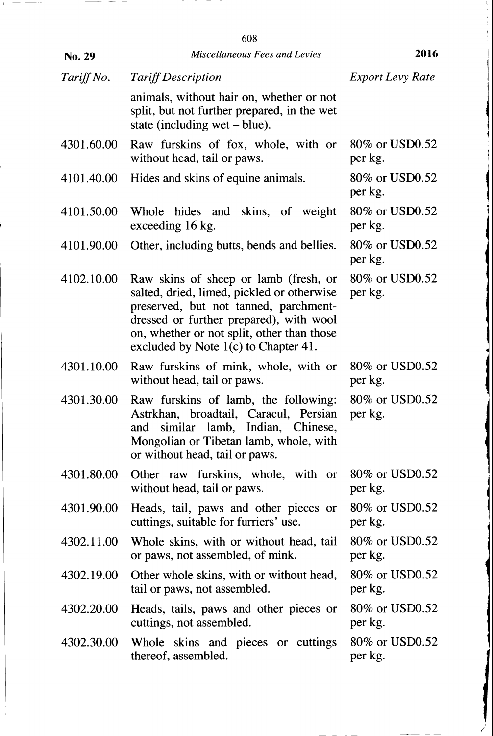| No. 29     | Miscellaneous Fees and Levies                                                                                                                                                                                                                                   | 2016                       |
|------------|-----------------------------------------------------------------------------------------------------------------------------------------------------------------------------------------------------------------------------------------------------------------|----------------------------|
| Tariff No. | <b>Tariff Description</b>                                                                                                                                                                                                                                       | <b>Export Levy Rate</b>    |
|            | animals, without hair on, whether or not<br>split, but not further prepared, in the wet<br>state (including wet $-$ blue).                                                                                                                                      |                            |
| 4301.60.00 | Raw furskins of fox, whole, with or<br>without head, tail or paws.                                                                                                                                                                                              | 80% or USD0.52<br>per kg.  |
| 4101.40.00 | Hides and skins of equine animals.                                                                                                                                                                                                                              | 80% or USD0.52<br>per kg.  |
| 4101.50.00 | Whole hides and skins, of weight<br>exceeding 16 kg.                                                                                                                                                                                                            | 80% or USD0.52<br>per kg.  |
| 4101.90.00 | Other, including butts, bends and bellies.                                                                                                                                                                                                                      | 80% or USD0.52<br>per kg.  |
| 4102.10.00 | Raw skins of sheep or lamb (fresh, or<br>salted, dried, limed, pickled or otherwise<br>preserved, but not tanned, parchment-<br>dressed or further prepared), with wool<br>on, whether or not split, other than those<br>excluded by Note $1(c)$ to Chapter 41. | 80% or USD0.52<br>per kg.  |
| 4301.10.00 | Raw furskins of mink, whole, with or<br>without head, tail or paws.                                                                                                                                                                                             | 80% or USD0.52<br>per kg.  |
| 4301.30.00 | Raw furskins of lamb, the following:<br>Astrkhan, broadtail, Caracul, Persian<br>similar lamb, Indian,<br>Chinese,<br>and<br>Mongolian or Tibetan lamb, whole, with<br>or without head, tail or paws.                                                           | 80% or USD0.52<br>per kg.  |
| 4301.80.00 | Other raw furskins, whole, with or<br>without head, tail or paws.                                                                                                                                                                                               | 80% or USD0.52<br>per kg.  |
| 4301.90.00 | Heads, tail, paws and other pieces or<br>cuttings, suitable for furriers' use.                                                                                                                                                                                  | 80% or USD0.52<br>per kg.  |
| 4302.11.00 | Whole skins, with or without head, tail<br>or paws, not assembled, of mink.                                                                                                                                                                                     | 80\% or USD0.52<br>per kg. |
| 4302.19.00 | Other whole skins, with or without head,<br>tail or paws, not assembled.                                                                                                                                                                                        | 80% or USD0.52<br>per kg.  |
| 4302.20.00 | Heads, tails, paws and other pieces or<br>cuttings, not assembled.                                                                                                                                                                                              | 80% or USD0.52<br>per kg.  |
| 4302.30.00 | Whole skins and pieces or cuttings<br>thereof, assembled.                                                                                                                                                                                                       | 80% or USD0.52<br>per kg.  |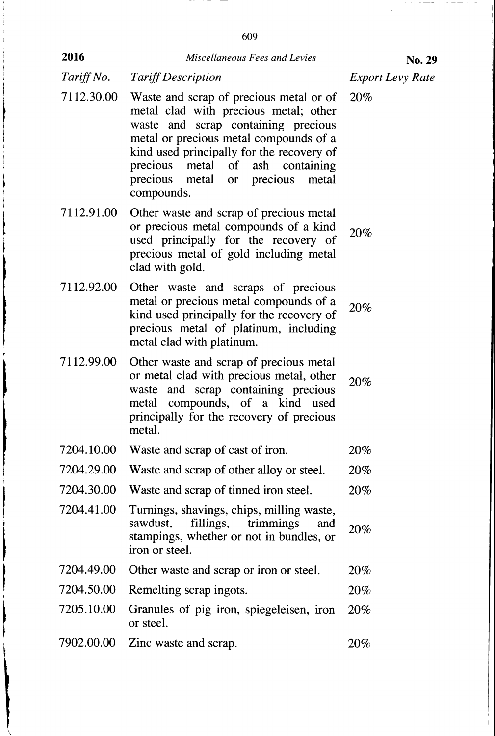609

#### 2016

Export Levy Rate

20Vo

Tariff No. **Tariff Description** 

- 7112.30.00 Waste and scrap of precious metal or of metal clad with precious metal; other waste and scrap containing precious metal or precious metal compounds of a kind used principally for the recovery of precious metal of ash containing<br>precious metal or precious metal precious metal or precious metal compounds.
- 7112.91 .00 Other waste and scrap of precious metal or precious metal compounds of a kind  $20\%$  used principally for the recovery of precious metal of gold including metal clad with gold.
- Other waste and scraps of precious metal or precious metal compounds of a  $_{20\%}$ kind used principally for the recovery of precious metal of platinum, including metal clad with platinum. 7112.92.00
- 7112.99.00 Other waste and scrap of precious metal or metal clad with precious metal, other  $20\%$ waste and scrap containing precious metal compounds, of a kind used principally for the recovery of precious metal.
- 7204.10.00 7204.29.00 7204.30.00 7204.41.00 20Vo 20Vo 20Vo Waste and scrap of cast of iron. Waste and scrap of other alloy or steel. Waste and scrap of tinned iron steel. Turnings, shavings, chips, milling waste, sawdust, fillings, trimmings and  $20\%$  stampings, whether or not in bundles, or iron or steel.
- 7204.49.00 Other waste and scrap or iron or steel. 20% 7204.50.00 Remelting scrap ingots. 20% 7205.10.00 Granules of pig iron, spiegeleisen, iron 20% or steel.
- $7902.00.00$  Zinc waste and scrap.  $20\%$

No.29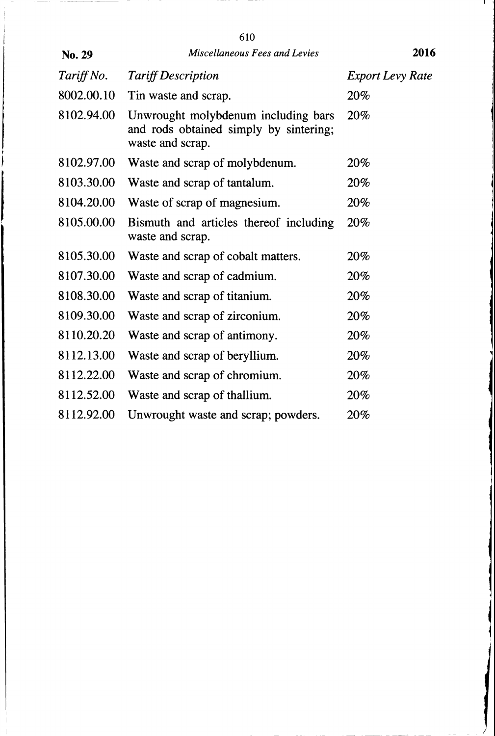|            | 610                                                                                               |                         |
|------------|---------------------------------------------------------------------------------------------------|-------------------------|
| No. 29     | Miscellaneous Fees and Levies                                                                     | 2016                    |
| Tariff No. | <b>Tariff Description</b>                                                                         | <b>Export Levy Rate</b> |
| 8002.00.10 | Tin waste and scrap.                                                                              | 20%                     |
| 8102.94.00 | Unwrought molybdenum including bars<br>and rods obtained simply by sintering;<br>waste and scrap. | 20%                     |
| 8102.97.00 | Waste and scrap of molybdenum.                                                                    | 20%                     |
| 8103.30.00 | Waste and scrap of tantalum.                                                                      | 20%                     |
| 8104.20.00 | Waste of scrap of magnesium.                                                                      | 20%                     |
| 8105.00.00 | Bismuth and articles thereof including<br>waste and scrap.                                        | 20%                     |
| 8105.30.00 | Waste and scrap of cobalt matters.                                                                | 20%                     |
| 8107.30.00 | Waste and scrap of cadmium.                                                                       | 20%                     |
| 8108.30.00 | Waste and scrap of titanium.                                                                      | 20%                     |
| 8109.30.00 | Waste and scrap of zirconium.                                                                     | 20%                     |
| 8110.20.20 | Waste and scrap of antimony.                                                                      | 20%                     |
| 8112.13.00 | Waste and scrap of beryllium.                                                                     | 20%                     |
| 8112.22.00 | Waste and scrap of chromium.                                                                      | 20%                     |
| 8112.52.00 | Waste and scrap of thallium.                                                                      | 20%                     |
| 8112.92.00 | Unwrought waste and scrap; powders.                                                               | 20%                     |